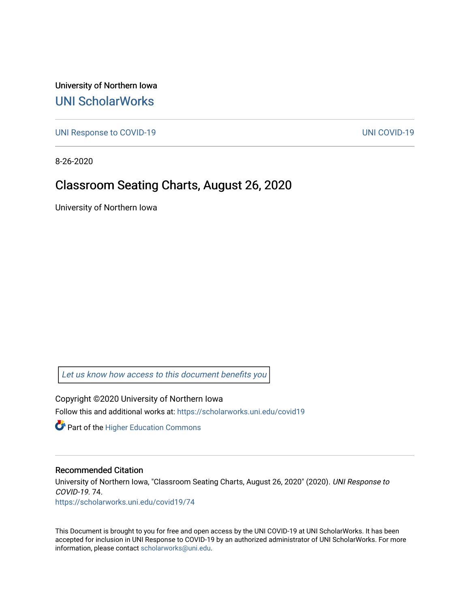University of Northern Iowa [UNI ScholarWorks](https://scholarworks.uni.edu/) 

[UNI Response to COVID-19](https://scholarworks.uni.edu/covid19) [UNI COVID-19](https://scholarworks.uni.edu/covid) 

8-26-2020

### Classroom Seating Charts, August 26, 2020

University of Northern Iowa

[Let us know how access to this document benefits you](https://scholarworks.uni.edu/feedback_form.html) 

Copyright ©2020 University of Northern Iowa Follow this and additional works at: [https://scholarworks.uni.edu/covid19](https://scholarworks.uni.edu/covid19?utm_source=scholarworks.uni.edu%2Fcovid19%2F74&utm_medium=PDF&utm_campaign=PDFCoverPages)

**Part of the Higher Education Commons** 

#### Recommended Citation

University of Northern Iowa, "Classroom Seating Charts, August 26, 2020" (2020). UNI Response to COVID-19. 74. [https://scholarworks.uni.edu/covid19/74](https://scholarworks.uni.edu/covid19/74?utm_source=scholarworks.uni.edu%2Fcovid19%2F74&utm_medium=PDF&utm_campaign=PDFCoverPages) 

This Document is brought to you for free and open access by the UNI COVID-19 at UNI ScholarWorks. It has been accepted for inclusion in UNI Response to COVID-19 by an authorized administrator of UNI ScholarWorks. For more information, please contact [scholarworks@uni.edu.](mailto:scholarworks@uni.edu)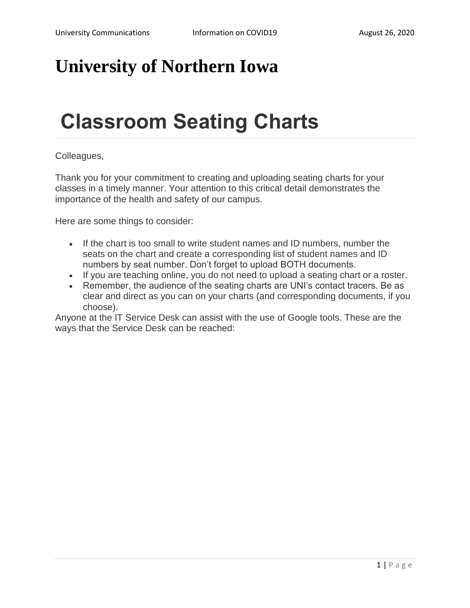## **University of Northern Iowa**

# **Classroom Seating Charts**

### Colleagues,

Thank you for your commitment to creating and uploading seating charts for your classes in a timely manner. Your attention to this critical detail demonstrates the importance of the health and safety of our campus.

Here are some things to consider:

- If the chart is too small to write student names and ID numbers, number the seats on the chart and create a corresponding list of student names and ID numbers by seat number. Don't forget to upload BOTH documents.
- If you are teaching online, you do not need to upload a seating chart or a roster.
- Remember, the audience of the seating charts are UNI's contact tracers. Be as clear and direct as you can on your charts (and corresponding documents, if you choose).

Anyone at the IT Service Desk can assist with the use of Google tools. These are the ways that the Service Desk can be reached: